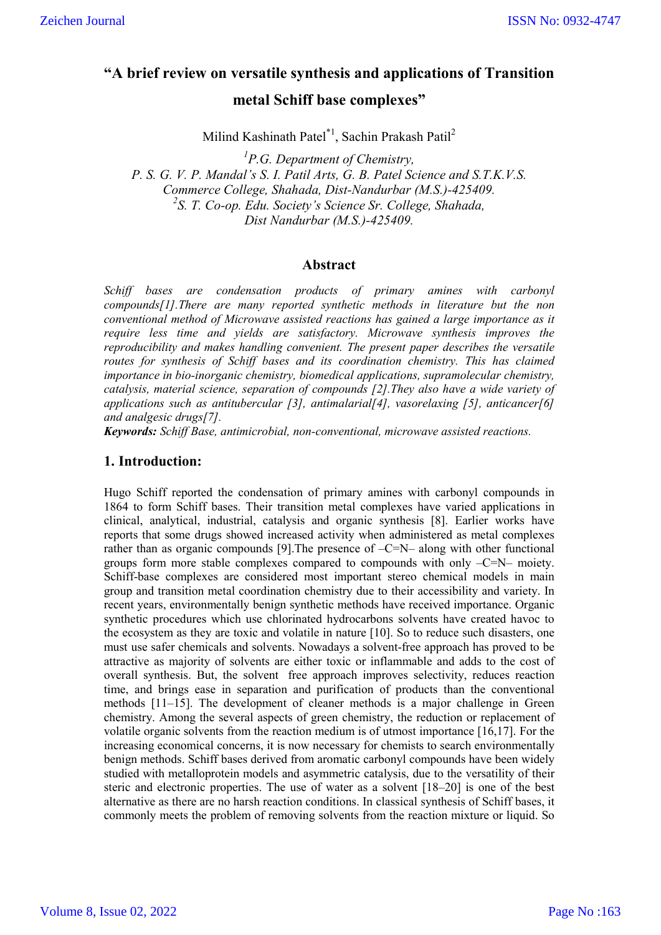# **"A brief review on versatile synthesis and applications of Transition**

**metal Schiff base complexes"**

Milind Kashinath Patel\*1, Sachin Prakash Patil2

*1 P.G. Department of Chemistry, P. S. G. V. P. Mandal's S. I. Patil Arts, G. B. Patel Science and S.T.K.V.S. Commerce College, Shahada, Dist-Nandurbar (M.S.)-425409. 2 S. T. Co-op. Edu. Society's Science Sr. College, Shahada, Dist Nandurbar (M.S.)-425409.*

# **Abstract**

*Schiff bases are condensation products of primary amines with carbonyl compounds[1].There are many reported synthetic methods in literature but the non conventional method of Microwave assisted reactions has gained a large importance as it require less time and yields are satisfactory. Microwave synthesis improves the reproducibility and makes handling convenient. The present paper describes the versatile routes for synthesis of Schiff bases and its coordination chemistry. This has claimed importance in bio-inorganic chemistry, biomedical applications, supramolecular chemistry, catalysis, material science, separation of compounds [2].They also have a wide variety of applications such as antitubercular [3], antimalarial[4], vasorelaxing [5], anticancer[6] and analgesic drugs[7].*

*Keywords: Schiff Base, antimicrobial, non-conventional, microwave assisted reactions.*

# **1. Introduction:**

Hugo Schiff reported the condensation of primary amines with carbonyl compounds in 1864 to form Schiff bases. Their transition metal complexes have varied applications in clinical, analytical, industrial, catalysis and organic synthesis [8]. Earlier works have reports that some drugs showed increased activity when administered as metal complexes rather than as organic compounds [9].The presence of –C=N– along with other functional groups form more stable complexes compared to compounds with only –C=N– moiety. Schiff-base complexes are considered most important stereo chemical models in main group and transition metal coordination chemistry due to their accessibility and variety. In recent years, environmentally benign synthetic methods have received importance. Organic synthetic procedures which use chlorinated hydrocarbons solvents have created havoc to the ecosystem as they are toxic and volatile in nature [10]. So to reduce such disasters, one must use safer chemicals and solvents. Nowadays a solvent-free approach has proved to be attractive as majority of solvents are either toxic or inflammable and adds to the cost of overall synthesis. But, the solvent free approach improves selectivity, reduces reaction time, and brings ease in separation and purification of products than the conventional methods [11–15]. The development of cleaner methods is a major challenge in Green chemistry. Among the several aspects of green chemistry, the reduction or replacement of volatile organic solvents from the reaction medium is of utmost importance [16,17]. For the increasing economical concerns, it is now necessary for chemists to search environmentally benign methods. Schiff bases derived from aromatic carbonyl compounds have been widely studied with metalloprotein models and asymmetric catalysis, due to the versatility of their steric and electronic properties. The use of water as a solvent [18–20] is one of the best alternative as there are no harsh reaction conditions. In classical synthesis of Schiff bases, it commonly meets the problem of removing solvents from the reaction mixture or liquid. So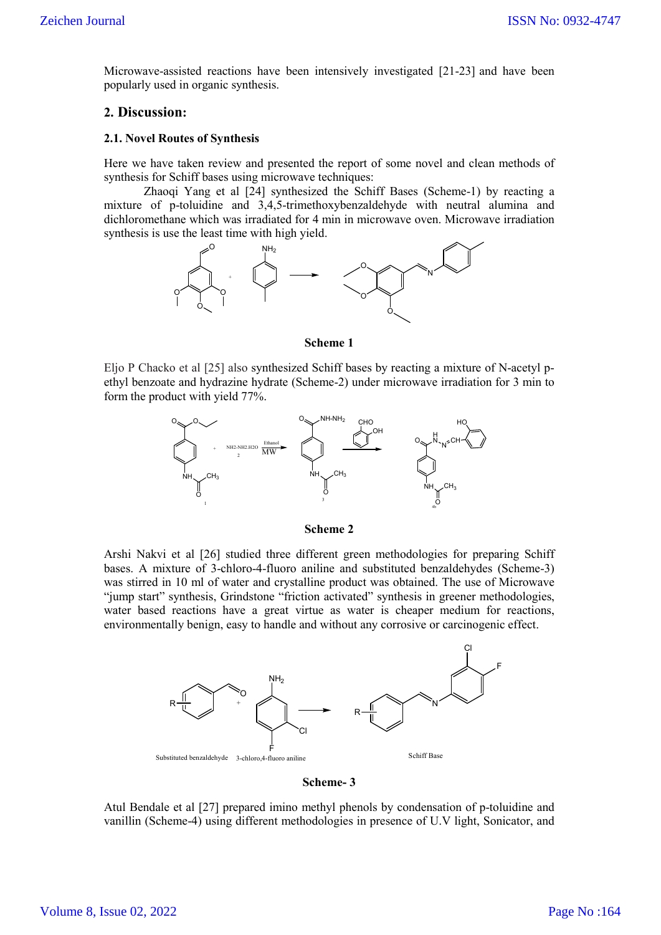Microwave-assisted reactions have been intensively investigated [21-23] and have been popularly used in organic synthesis.

# **2. Discussion:**

#### **2.1. Novel Routes of Synthesis**

Here we have taken review and presented the report of some novel and clean methods of synthesis for Schiff bases using microwave techniques:

Zhaoqi Yang et al [24] synthesized the Schiff Bases (Scheme-1) by reacting a mixture of p-toluidine and 3,4,5-trimethoxybenzaldehyde with neutral alumina and dichloromethane which was irradiated for 4 min in microwave oven. Microwave irradiation synthesis is use the least time with high yield.



#### **Scheme 1**

Eljo P Chacko et al [25] also synthesized Schiff bases by reacting a mixture of N-acetyl pethyl benzoate and hydrazine hydrate (Scheme-2) under microwave irradiation for 3 min to form the product with yield 77%.



#### **Scheme 2**

Arshi Nakvi et al [26] studied three different green methodologies for preparing Schiff bases. A mixture of 3-chloro-4-fluoro aniline and substituted benzaldehydes (Scheme-3) was stirred in 10 ml of water and crystalline product was obtained. The use of Microwave "jump start" synthesis, Grindstone "friction activated" synthesis in greener methodologies, water based reactions have a great virtue as water is cheaper medium for reactions, environmentally benign, easy to handle and without any corrosive or carcinogenic effect.



**Scheme- 3**

Atul Bendale et al [27] prepared imino methyl phenols by condensation of p-toluidine and vanillin (Scheme-4) using different methodologies in presence of U.V light, Sonicator, and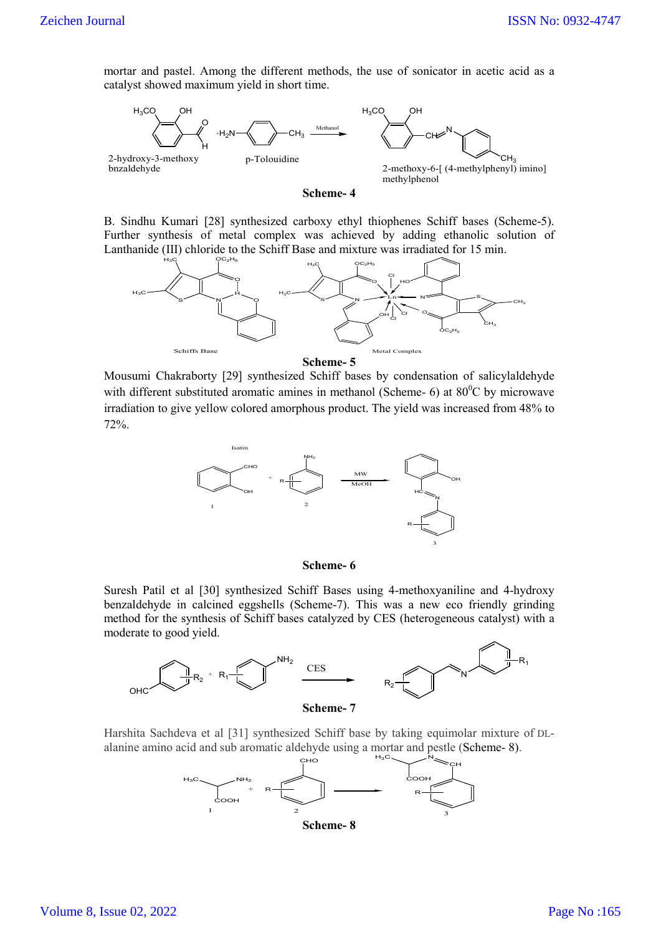mortar and pastel. Among the different methods, the use of sonicator in acetic acid as a catalyst showed maximum yield in short time.



**Scheme- 4**

B. Sindhu Kumari [28] synthesized carboxy ethyl thiophenes Schiff bases (Scheme-5). Further synthesis of metal complex was achieved by adding ethanolic solution of Lanthanide (III) chloride to the Schiff Base and mixture was irradiated for 15 min.



**Scheme- 5**

Mousumi Chakraborty [29] synthesized Schiff bases by condensation of salicylaldehyde with different substituted aromatic amines in methanol (Scheme- 6) at  $80^{\circ}$ C by microwave irradiation to give yellow colored amorphous product. The yield was increased from 48% to 72%.



## **Scheme- 6**

Suresh Patil et al [30] synthesized Schiff Bases using 4-methoxyaniline and 4-hydroxy benzaldehyde in calcined eggshells (Scheme-7). This was a new eco friendly grinding method for the synthesis of Schiff bases catalyzed by CES (heterogeneous catalyst) with a moderate to good yield.



Harshita Sachdeva et al [31] synthesized Schiff base by taking equimolar mixture of DLalanine amino acid and sub aromatic aldehyde using a mortar and pestle (Scheme- 8).

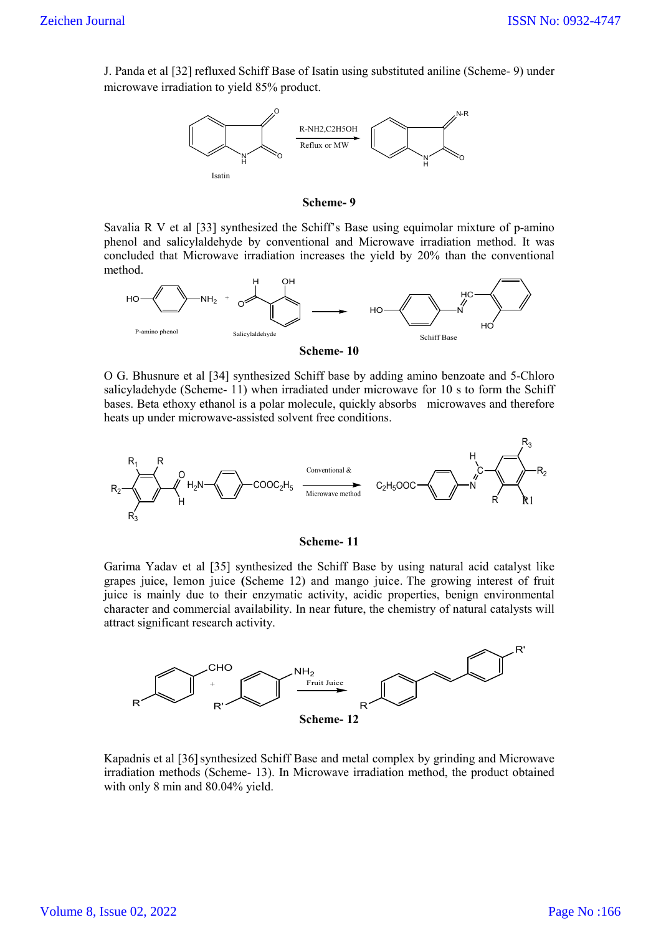J. Panda et al [32] refluxed Schiff Base of Isatin using substituted aniline (Scheme- 9) under microwave irradiation to yield 85% product.



**Scheme- 9**

Savalia R V et al [33] synthesized the Schiff's Base using equimolar mixture of p-amino phenol and salicylaldehyde by conventional and Microwave irradiation method. It was concluded that Microwave irradiation increases the yield by 20% than the conventional method.



O G. Bhusnure et al [34] synthesized Schiff base by adding amino benzoate and 5-Chloro salicyladehyde (Scheme- 11) when irradiated under microwave for 10 s to form the Schiff bases. Beta ethoxy ethanol is a polar molecule, quickly absorbs microwaves and therefore heats up under microwave-assisted solvent free conditions.





Garima Yadav et al [35] synthesized the Schiff Base by using natural acid catalyst like grapes juice, lemon juice **(**Scheme 12) and mango juice. The growing interest of fruit juice is mainly due to their enzymatic activity, acidic properties, benign environmental character and commercial availability. In near future, the chemistry of natural catalysts will attract significant research activity.



Kapadnis et al [36] synthesized Schiff Base and metal complex by grinding and Microwave irradiation methods (Scheme- 13). In Microwave irradiation method, the product obtained with only 8 min and 80.04% yield.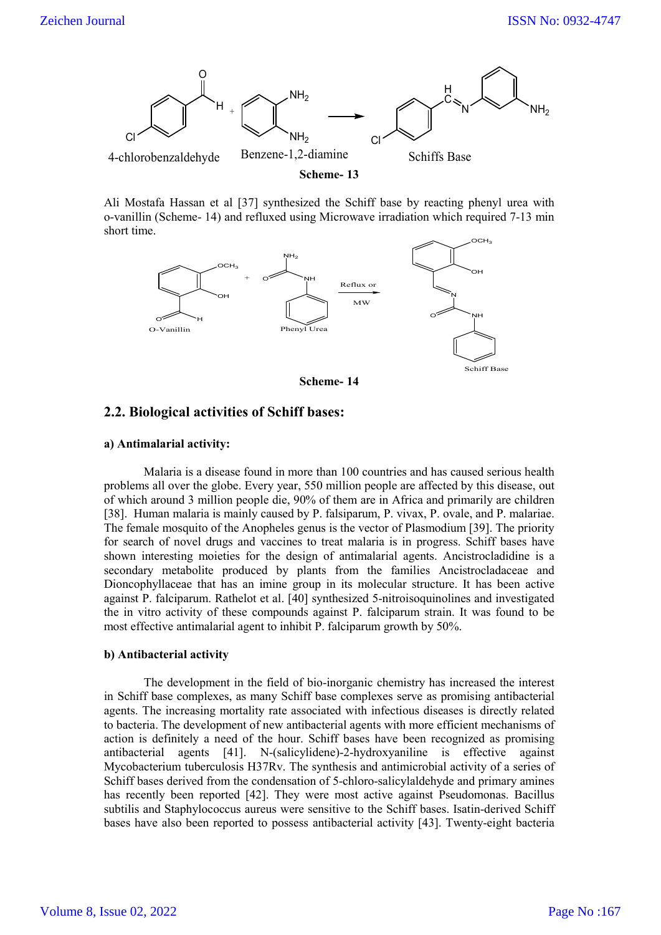

Ali Mostafa Hassan et al [37] synthesized the Schiff base by reacting phenyl urea with o-vanillin (Scheme- 14) and refluxed using Microwave irradiation which required 7-13 min short time.



#### **Scheme- 14**

# **2.2. Biological activities of Schiff bases:**

## **a) Antimalarial activity:**

Malaria is a disease found in more than 100 countries and has caused serious health problems all over the globe. Every year, 550 million people are affected by this disease, out of which around 3 million people die, 90% of them are in Africa and primarily are children [38]. Human malaria is mainly caused by P. falsiparum, P. vivax, P. ovale, and P. malariae. The female mosquito of the Anopheles genus is the vector of Plasmodium [39]. The priority for search of novel drugs and vaccines to treat malaria is in progress. Schiff bases have shown interesting moieties for the design of antimalarial agents. Ancistrocladidine is a secondary metabolite produced by plants from the families Ancistrocladaceae and Dioncophyllaceae that has an imine group in its molecular structure. It has been active against P. falciparum. Rathelot et al. [40] synthesized 5-nitroisoquinolines and investigated the in vitro activity of these compounds against P. falciparum strain. It was found to be most effective antimalarial agent to inhibit P. falciparum growth by 50%.

#### **b) Antibacterial activity**

The development in the field of bio-inorganic chemistry has increased the interest in Schiff base complexes, as many Schiff base complexes serve as promising antibacterial agents. The increasing mortality rate associated with infectious diseases is directly related to bacteria. The development of new antibacterial agents with more efficient mechanisms of action is definitely a need of the hour. Schiff bases have been recognized as promising antibacterial agents [41]. N-(salicylidene)-2-hydroxyaniline is effective against Mycobacterium tuberculosis H37Rv. The synthesis and antimicrobial activity of a series of Schiff bases derived from the condensation of 5-chloro-salicylaldehyde and primary amines has recently been reported [42]. They were most active against Pseudomonas. Bacillus subtilis and Staphylococcus aureus were sensitive to the Schiff bases. Isatin-derived Schiff bases have also been reported to possess antibacterial activity [43]. Twenty-eight bacteria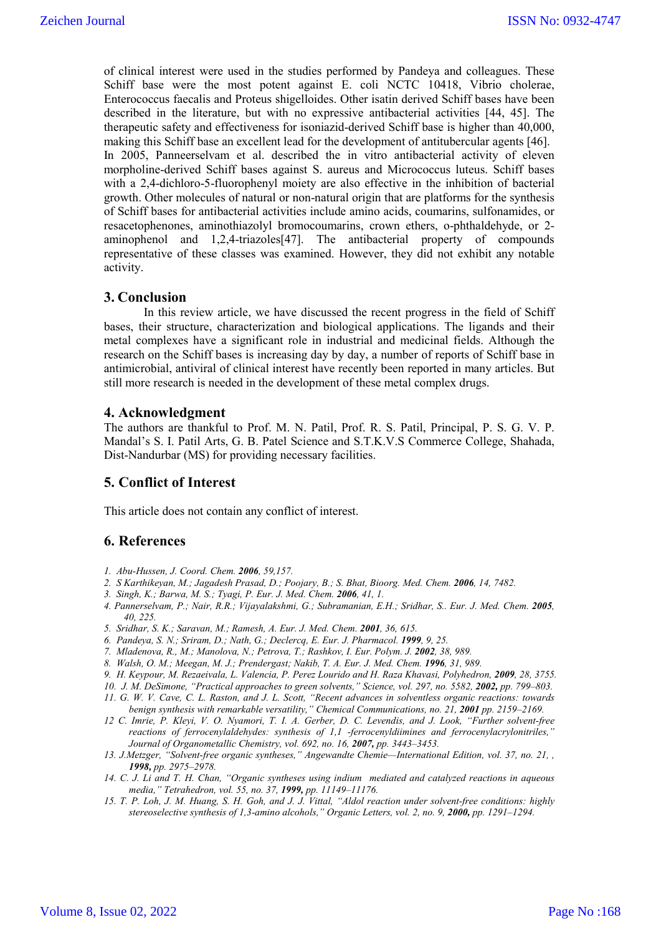of clinical interest were used in the studies performed by Pandeya and colleagues. These Schiff base were the most potent against E. coli NCTC 10418, Vibrio cholerae, Enterococcus faecalis and Proteus shigelloides. Other isatin derived Schiff bases have been described in the literature, but with no expressive antibacterial activities [44, 45]. The therapeutic safety and effectiveness for isoniazid-derived Schiff base is higher than 40,000, making this Schiff base an excellent lead for the development of antitubercular agents [46]. In 2005, Panneerselvam et al. described the in vitro antibacterial activity of eleven morpholine-derived Schiff bases against S. aureus and Micrococcus luteus. Schiff bases with a 2,4-dichloro-5-fluorophenyl moiety are also effective in the inhibition of bacterial growth. Other molecules of natural or non-natural origin that are platforms for the synthesis of Schiff bases for antibacterial activities include amino acids, coumarins, sulfonamides, or resacetophenones, aminothiazolyl bromocoumarins, crown ethers, o-phthaldehyde, or 2 aminophenol and 1,2,4-triazoles[47]. The antibacterial property of compounds representative of these classes was examined. However, they did not exhibit any notable activity.

## **3. Conclusion**

In this review article, we have discussed the recent progress in the field of Schiff bases, their structure, characterization and biological applications. The ligands and their metal complexes have a significant role in industrial and medicinal fields. Although the research on the Schiff bases is increasing day by day, a number of reports of Schiff base in antimicrobial, antiviral of clinical interest have recently been reported in many articles. But still more research is needed in the development of these metal complex drugs.

# **4. Acknowledgment**

The authors are thankful to Prof. M. N. Patil, Prof. R. S. Patil, Principal, P. S. G. V. P. Mandal's S. I. Patil Arts, G. B. Patel Science and S.T.K.V.S Commerce College, Shahada, Dist-Nandurbar (MS) for providing necessary facilities.

# **5. Conflict of Interest**

This article does not contain any conflict of interest.

# **6. References**

- *1. Abu-Hussen, J. Coord. Chem. 2006, 59,157.*
- 2. S Karthikeyan, M.; Jagadesh Prasad, D.; Poojary, B.; S. Bhat, Bioorg. Med. Chem. 2006, 14, 7482.
- *3. Singh, K.; Barwa, M. S.; Tyagi, P. Eur. J. Med. Chem. 2006, 41, 1.*
- *4. Pannerselvam, P.; Nair, R.R.; Vijayalakshmi, G.; Subramanian, E.H.; Sridhar, S.. Eur. J. Med. Chem. 2005, 40, 225.*
- *5. Sridhar, S. K.; Saravan, M.; Ramesh, A. Eur. J. Med. Chem. 2001, 36, 615.*
- *6. Pandeya, S. N.; Sriram, D.; Nath, G.; Declercq, E. Eur. J. Pharmacol. 1999, 9, 25.*
- *7. Mladenova, R., M.; Manolova, N.; Petrova, T.; Rashkov, I. Eur. Polym. J. 2002, 38, 989.*
- *8. Walsh, O. M.; Meegan, M. J.; Prendergast; Nakib, T. A. Eur. J. Med. Chem. 1996, 31, 989.*
- *9. H. Keypour, M. Rezaeivala, L. Valencia, P. Perez Lourido and H. Raza Khavasi, Polyhedron, 2009, 28, 3755.*
- *10. J. M. DeSimone, "Practical approaches to green solvents," Science, vol. 297, no. 5582, 2002, pp. 799–803.*
- *11. G. W. V. Cave, C. L. Raston, and J. L. Scott, "Recent advances in solventless organic reactions: towards benign synthesis with remarkable versatility," Chemical Communications, no. 21, 2001 pp. 2159–2169.*
- *12 C. Imrie, P. Kleyi, V. O. Nyamori, T. I. A. Gerber, D. C. Levendis, and J. Look, "Further solvent-free reactions of ferrocenylaldehydes: synthesis of 1,1 -ferrocenyldiimines and ferrocenylacrylonitriles," Journal of Organometallic Chemistry, vol. 692, no. 16, 2007, pp. 3443–3453.*
- *13. J.Metzger, "Solvent-free organic syntheses," Angewandte Chemie—International Edition, vol. 37, no. 21, , 1998, pp. 2975–2978.*
- *14. C. J. Li and T. H. Chan, "Organic syntheses using indium mediated and catalyzed reactions in aqueous media," Tetrahedron, vol. 55, no. 37, 1999, pp. 11149–11176.*
- *15. T. P. Loh, J. M. Huang, S. H. Goh, and J. J. Vittal, "Aldol reaction under solvent-free conditions: highly stereoselective synthesis of 1,3-amino alcohols," Organic Letters, vol. 2, no. 9, 2000, pp. 1291–1294.*